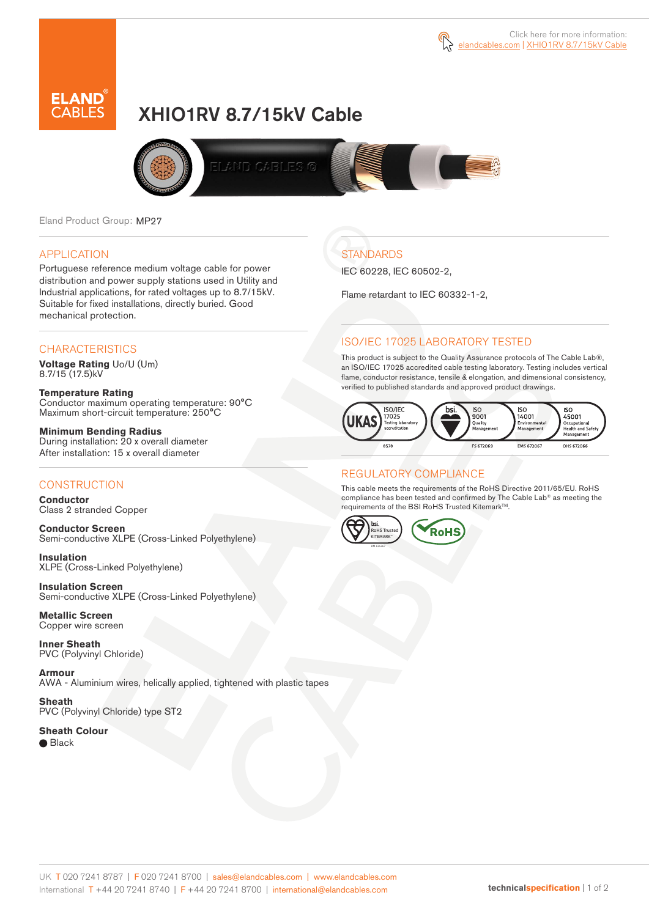



# XHIO1RV 8.7/15kV Cable



Eland Product Group: MP27

## APPLICATION

Portuguese reference medium voltage cable for power distribution and power supply stations used in Utility and Industrial applications, for rated voltages up to 8.7/15kV. Suitable for fixed installations, directly buried. Good mechanical protection.

#### **CHARACTERISTICS**

**Voltage Rating** Uo/U (Um) 8.7/15 (17.5)kV

**Temperature Rating** Conductor maximum operating temperature: 90°C Maximum short-circuit temperature: 250°C

**Minimum Bending Radius** During installation: 20 x overall diameter After installation: 15 x overall diameter

## **CONSTRUCTION**

**Conductor**  Class 2 stranded Copper

**Conductor Screen** Semi-conductive XLPE (Cross-Linked Polyethylene)

**Insulation** XLPE (Cross-Linked Polyethylene)

**Insulation Screen** Semi-conductive XLPE (Cross-Linked Polyethylene)

**Metallic Screen**  Copper wire screen

**Inner Sheath** PVC (Polyvinyl Chloride)

**Armour** AWA - Aluminium wires, helically applied, tightened with plastic tapes

**Sheath** PVC (Polyvinyl Chloride) type ST2

**Sheath Colour**  ● Black

**STANDARDS** 

IEC 60228, IEC 60502-2,

Flame retardant to IEC 60332-1-2,

# ISO/IEC 17025 LABORATORY TESTED

This product is subject to the Quality Assurance protocols of The Cable Lab®, an ISO/IEC 17025 accredited cable testing laboratory. Testing includes vertical flame, conductor resistance, tensile & elongation, and dimensional consistency, verified to published standards and approved product drawings.



## REGULATORY COMPLIANCE

This cable meets the requirements of the RoHS Directive 2011/65/EU. RoHS compliance has been tested and confirmed by The Cable Lab® as meeting the requirements of the BSI RoHS Trusted Kitemark™.